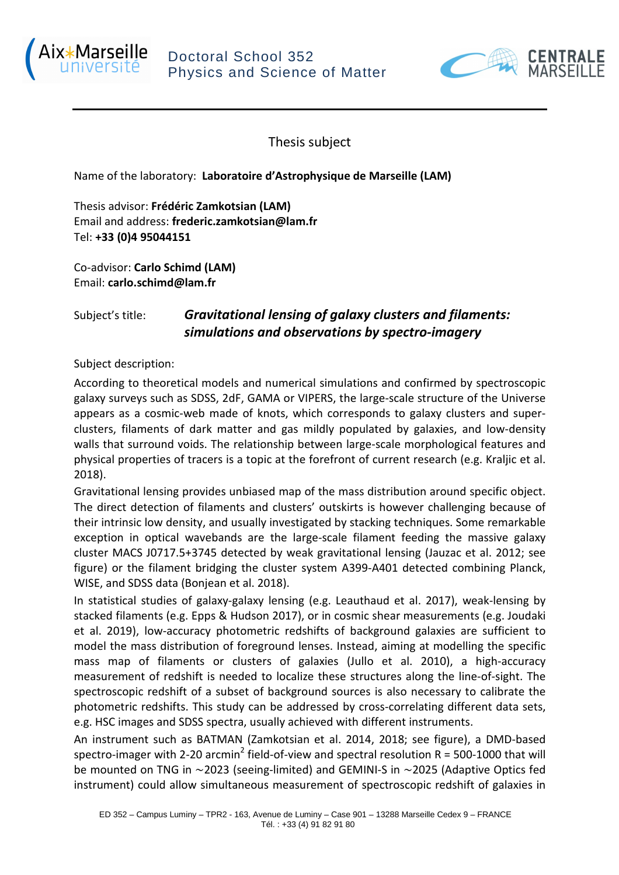



Thesis subject

Name of the laboratory: **Laboratoire d'Astrophysique de Marseille (LAM)**

Thesis advisor: **Frédéric Zamkotsian (LAM)**  Email and address: **frederic.zamkotsian@lam.fr** Tel: **+33 (0)4 95044151**

Co-advisor: **Carlo Schimd (LAM)** Email: **carlo.schimd@lam.fr**

## Subject's title: *Gravitational lensing of galaxy clusters and filaments: simulations and observations by spectro-imagery*

Subject description:

According to theoretical models and numerical simulations and confirmed by spectroscopic galaxy surveys such as SDSS, 2dF, GAMA or VIPERS, the large-scale structure of the Universe appears as a cosmic-web made of knots, which corresponds to galaxy clusters and superclusters, filaments of dark matter and gas mildly populated by galaxies, and low-density walls that surround voids. The relationship between large-scale morphological features and physical properties of tracers is a topic at the forefront of current research (e.g. Kraljic et al. 2018).

Gravitational lensing provides unbiased map of the mass distribution around specific object. The direct detection of filaments and clusters' outskirts is however challenging because of their intrinsic low density, and usually investigated by stacking techniques. Some remarkable exception in optical wavebands are the large-scale filament feeding the massive galaxy cluster MACS J0717.5+3745 detected by weak gravitational lensing (Jauzac et al. 2012; see figure) or the filament bridging the cluster system A399-A401 detected combining Planck, WISE, and SDSS data (Bonjean et al. 2018).

In statistical studies of galaxy-galaxy lensing (e.g. Leauthaud et al. 2017), weak-lensing by stacked filaments (e.g. Epps & Hudson 2017), or in cosmic shear measurements (e.g. Joudaki et al. 2019), low-accuracy photometric redshifts of background galaxies are sufficient to model the mass distribution of foreground lenses. Instead, aiming at modelling the specific mass map of filaments or clusters of galaxies (Jullo et al. 2010), a high-accuracy measurement of redshift is needed to localize these structures along the line-of-sight. The spectroscopic redshift of a subset of background sources is also necessary to calibrate the photometric redshifts. This study can be addressed by cross-correlating different data sets, e.g. HSC images and SDSS spectra, usually achieved with different instruments.

An instrument such as BATMAN (Zamkotsian et al. 2014, 2018; see figure), a DMD-based spectro-imager with 2-20 arcmin<sup>2</sup> field-of-view and spectral resolution R = 500-1000 that will be mounted on TNG in  $\sim$ 2023 (seeing-limited) and GEMINI-S in  $\sim$ 2025 (Adaptive Optics fed instrument) could allow simultaneous measurement of spectroscopic redshift of galaxies in